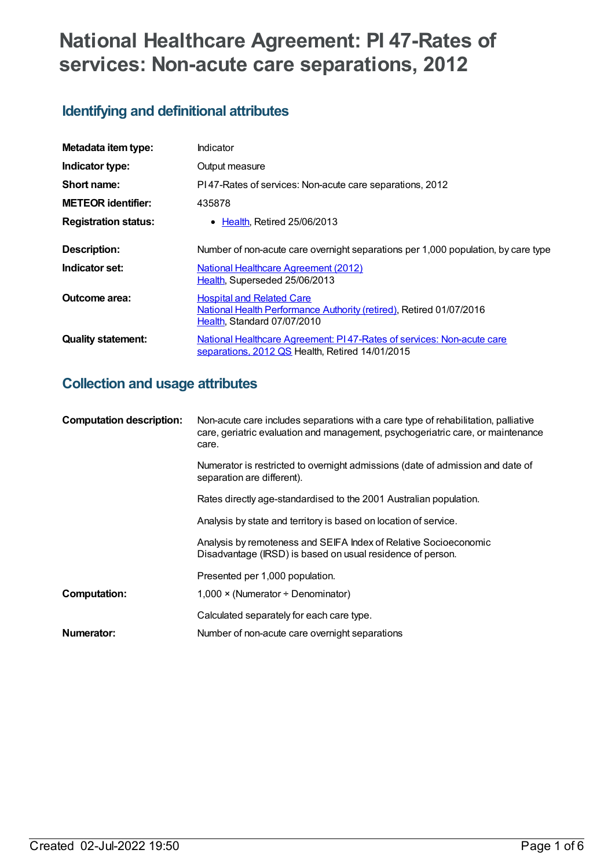# **National Healthcare Agreement: PI 47-Rates of services: Non-acute care separations, 2012**

# **Identifying and definitional attributes**

| Metadata item type:         | Indicator                                                                                                                              |  |
|-----------------------------|----------------------------------------------------------------------------------------------------------------------------------------|--|
| Indicator type:             | Output measure                                                                                                                         |  |
| Short name:                 | PI47-Rates of services: Non-acute care separations, 2012                                                                               |  |
| <b>METEOR identifier:</b>   | 435878                                                                                                                                 |  |
| <b>Registration status:</b> | $\bullet$ Health, Retired 25/06/2013                                                                                                   |  |
| <b>Description:</b>         | Number of non-acute care overnight separations per 1,000 population, by care type                                                      |  |
| Indicator set:              | <b>National Healthcare Agreement (2012)</b><br>Health, Superseded 25/06/2013                                                           |  |
| Outcome area:               | <b>Hospital and Related Care</b><br>National Health Performance Authority (retired), Retired 01/07/2016<br>Health, Standard 07/07/2010 |  |
| <b>Quality statement:</b>   | National Healthcare Agreement: P147-Rates of services: Non-acute care<br>separations, 2012 QS Health, Retired 14/01/2015               |  |

# **Collection and usage attributes**

| <b>Computation description:</b> | Non-acute care includes separations with a care type of rehabilitation, palliative<br>care, geriatric evaluation and management, psychogeriatric care, or maintenance<br>care. |
|---------------------------------|--------------------------------------------------------------------------------------------------------------------------------------------------------------------------------|
|                                 | Numerator is restricted to overnight admissions (date of admission and date of<br>separation are different).                                                                   |
|                                 | Rates directly age-standardised to the 2001 Australian population.                                                                                                             |
|                                 | Analysis by state and territory is based on location of service.                                                                                                               |
|                                 | Analysis by remoteness and SEIFA Index of Relative Socioeconomic<br>Disadvantage (IRSD) is based on usual residence of person.                                                 |
|                                 | Presented per 1,000 population.                                                                                                                                                |
| Computation:                    | $1,000 \times (Numerator + Denominator)$                                                                                                                                       |
|                                 | Calculated separately for each care type.                                                                                                                                      |
| Numerator:                      | Number of non-acute care overnight separations                                                                                                                                 |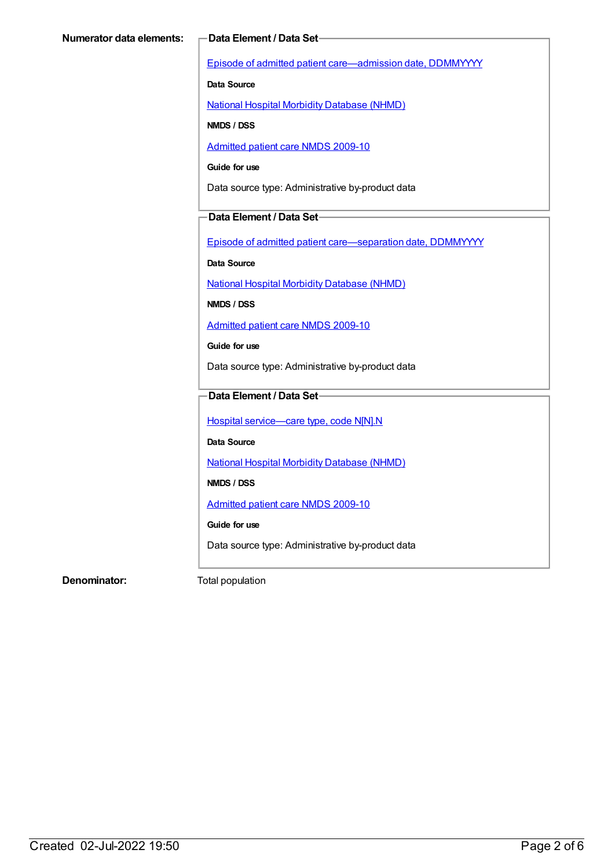Episode of admitted patient [care—admission](https://meteor.aihw.gov.au/content/269967) date, DDMMYYYY

**Data Source**

National Hospital Morbidity [Database](https://meteor.aihw.gov.au/content/394352) (NHMD)

**NMDS / DSS**

[Admitted](https://meteor.aihw.gov.au/content/374205) patient care NMDS 2009-10

**Guide for use**

Data source type: Administrative by-product data

#### **Data Element / Data Set**

Episode of admitted patient [care—separation](https://meteor.aihw.gov.au/content/270025) date, DDMMYYYY

**Data Source**

National Hospital Morbidity [Database](https://meteor.aihw.gov.au/content/394352) (NHMD)

**NMDS / DSS**

[Admitted](https://meteor.aihw.gov.au/content/374205) patient care NMDS 2009-10

**Guide for use**

Data source type: Administrative by-product data

## **Data Element / Data Set**

Hospital [service—care](https://meteor.aihw.gov.au/content/270174) type, code N[N].N

**Data Source**

National Hospital Morbidity [Database](https://meteor.aihw.gov.au/content/394352) (NHMD)

**NMDS / DSS**

[Admitted](https://meteor.aihw.gov.au/content/374205) patient care NMDS 2009-10

**Guide for use**

Data source type: Administrative by-product data

**Denominator:** Total population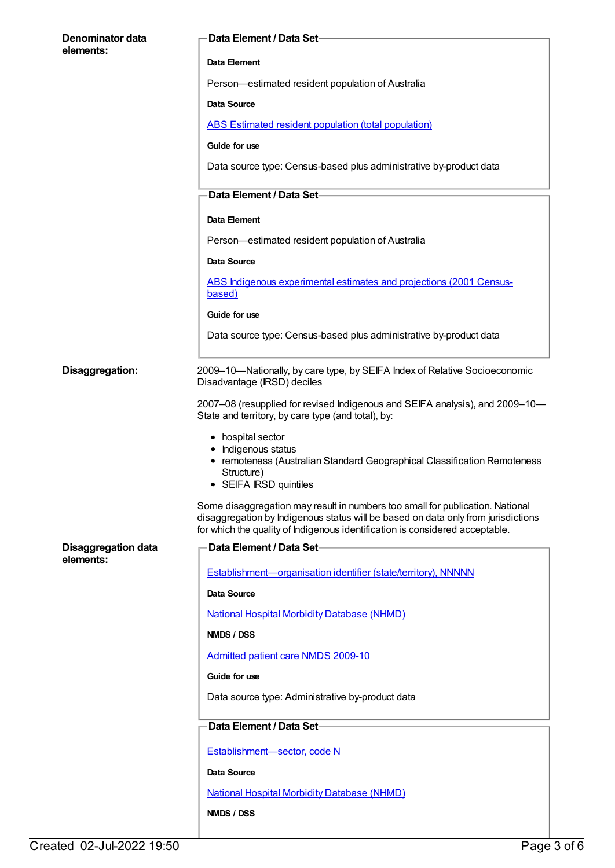| Denominator data<br>elements: | <b>Data Element / Data Set-</b>                                                                                                                                                                                                                    |  |
|-------------------------------|----------------------------------------------------------------------------------------------------------------------------------------------------------------------------------------------------------------------------------------------------|--|
|                               | Data Element                                                                                                                                                                                                                                       |  |
|                               | Person-estimated resident population of Australia                                                                                                                                                                                                  |  |
|                               | Data Source                                                                                                                                                                                                                                        |  |
|                               | <b>ABS Estimated resident population (total population)</b>                                                                                                                                                                                        |  |
|                               | Guide for use                                                                                                                                                                                                                                      |  |
|                               | Data source type: Census-based plus administrative by-product data                                                                                                                                                                                 |  |
|                               | Data Element / Data Set-                                                                                                                                                                                                                           |  |
|                               | Data Element                                                                                                                                                                                                                                       |  |
|                               | Person-estimated resident population of Australia                                                                                                                                                                                                  |  |
|                               | Data Source                                                                                                                                                                                                                                        |  |
|                               | ABS Indigenous experimental estimates and projections (2001 Census-<br>based)                                                                                                                                                                      |  |
|                               | Guide for use                                                                                                                                                                                                                                      |  |
|                               | Data source type: Census-based plus administrative by-product data                                                                                                                                                                                 |  |
| Disaggregation:               | 2009-10-Nationally, by care type, by SEIFA Index of Relative Socioeconomic<br>Disadvantage (IRSD) deciles                                                                                                                                          |  |
|                               | 2007–08 (resupplied for revised Indigenous and SEIFA analysis), and 2009–10—<br>State and territory, by care type (and total), by:                                                                                                                 |  |
|                               | • hospital sector<br>• Indigenous status<br>• remoteness (Australian Standard Geographical Classification Remoteness<br>Structure)<br>• SEIFA IRSD quintiles                                                                                       |  |
|                               | Some disaggregation may result in numbers too small for publication. National<br>disaggregation by Indigenous status will be based on data only from jurisdictions<br>for which the quality of Indigenous identification is considered acceptable. |  |
| <b>Disaggregation data</b>    | Data Element / Data Set-                                                                                                                                                                                                                           |  |
| elements:                     | Establishment-organisation identifier (state/territory), NNNNN                                                                                                                                                                                     |  |
|                               | Data Source                                                                                                                                                                                                                                        |  |
|                               | <b>National Hospital Morbidity Database (NHMD)</b>                                                                                                                                                                                                 |  |
|                               | NMDS / DSS                                                                                                                                                                                                                                         |  |
|                               | <b>Admitted patient care NMDS 2009-10</b>                                                                                                                                                                                                          |  |
|                               | Guide for use                                                                                                                                                                                                                                      |  |
|                               | Data source type: Administrative by-product data                                                                                                                                                                                                   |  |
|                               | Data Element / Data Set-                                                                                                                                                                                                                           |  |
|                               |                                                                                                                                                                                                                                                    |  |
|                               | Establishment-sector, code N                                                                                                                                                                                                                       |  |
|                               | Data Source                                                                                                                                                                                                                                        |  |
|                               | <b>National Hospital Morbidity Database (NHMD)</b>                                                                                                                                                                                                 |  |
|                               | NMDS / DSS                                                                                                                                                                                                                                         |  |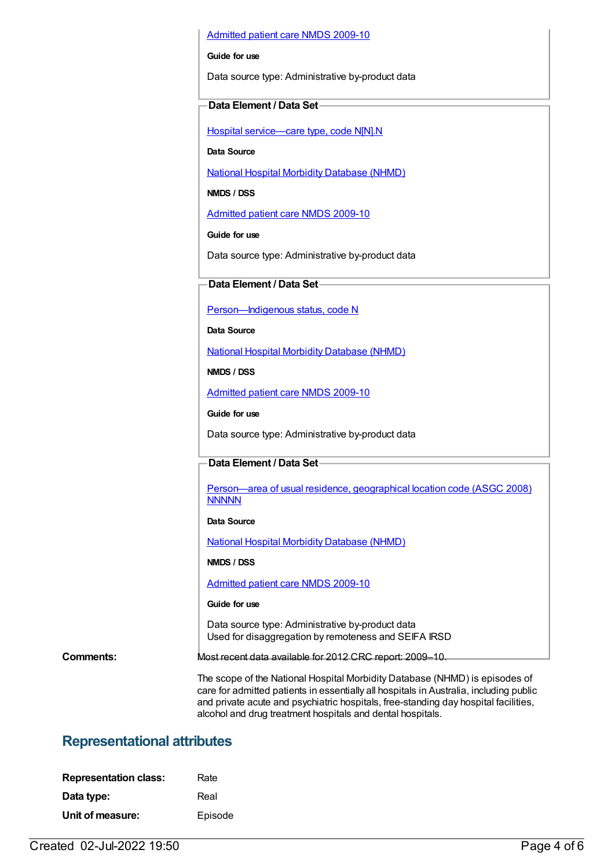#### [Admitted](https://meteor.aihw.gov.au/content/374205) patient care NMDS 2009-10

#### **Guide for use**

Data source type: Administrative by-product data

#### **Data Element / Data Set**

Hospital [service—care](https://meteor.aihw.gov.au/content/270174) type, code N[N].N

**Data Source**

National Hospital Morbidity [Database](https://meteor.aihw.gov.au/content/394352) (NHMD)

**NMDS / DSS**

[Admitted](https://meteor.aihw.gov.au/content/374205) patient care NMDS 2009-10

**Guide for use**

Data source type: Administrative by-product data

### **Data Element / Data Set**

[Person—Indigenous](https://meteor.aihw.gov.au/content/291036) status, code N

**Data Source**

National Hospital Morbidity [Database](https://meteor.aihw.gov.au/content/394352) (NHMD)

**NMDS / DSS**

[Admitted](https://meteor.aihw.gov.au/content/374205) patient care NMDS 2009-10

**Guide for use**

Data source type: Administrative by-product data

#### **Data Element / Data Set**

[Person—area](https://meteor.aihw.gov.au/content/377103) of usual residence, geographical location code (ASGC 2008) **NNNNN** 

#### **Data Source**

National Hospital Morbidity [Database](https://meteor.aihw.gov.au/content/394352) (NHMD)

**NMDS / DSS**

[Admitted](https://meteor.aihw.gov.au/content/374205) patient care NMDS 2009-10

#### **Guide for use**

Data source type: Administrative by-product data Used for disaggregation by remoteness and SEIFA IRSD

alcohol and drug treatment hospitals and dental hospitals.

**Comments:** Most recent data available for 2012 CRC report: 2009–10.

The scope of the National Hospital Morbidity Database (NHMD) is episodes of care for admitted patients in essentially all hospitals in Australia, including public and private acute and psychiatric hospitals, free-standing day hospital facilities,

## **Representational attributes**

| <b>Representation class:</b> | Rate    |
|------------------------------|---------|
| Data type:                   | Real    |
| Unit of measure:             | Episode |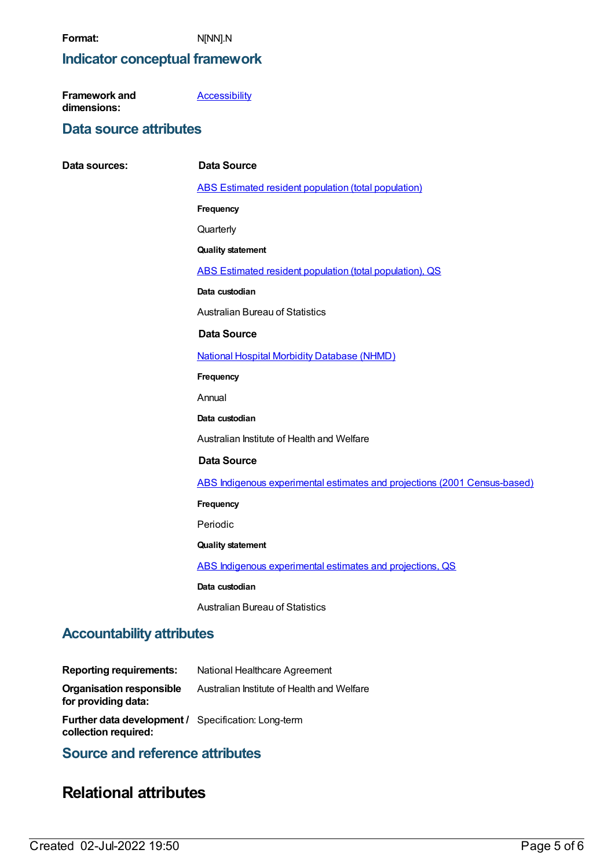## **Indicator conceptual framework**

| Framework and | <b>Accessibility</b> |
|---------------|----------------------|
| dimensions:   |                      |

## **Data source attributes**

**Data sources: Data Source** ABS Estimated resident population (total [population\)](https://meteor.aihw.gov.au/content/393625) **Frequency Quarterly Quality statement** ABS Estimated resident population (total [population\),](https://meteor.aihw.gov.au/content/449216) QS **Data custodian** Australian Bureau of Statistics **Data Source** National Hospital Morbidity [Database](https://meteor.aihw.gov.au/content/394352) (NHMD) **Frequency** Annual **Data custodian** Australian Institute of Health and Welfare **Data Source** ABS Indigenous experimental estimates and projections (2001 [Census-based\)](https://meteor.aihw.gov.au/content/394092) **Frequency** Periodic **Quality statement** ABS Indigenous [experimental](https://meteor.aihw.gov.au/content/449223) estimates and projections, QS **Data custodian** Australian Bureau of Statistics

# **Accountability attributes**

| <b>Reporting requirements:</b>                                                     | National Healthcare Agreement              |
|------------------------------------------------------------------------------------|--------------------------------------------|
| <b>Organisation responsible</b><br>for providing data:                             | Australian Institute of Health and Welfare |
| <b>Further data development / Specification: Long-term</b><br>collection required: |                                            |

# **Source and reference attributes**

# **Relational attributes**